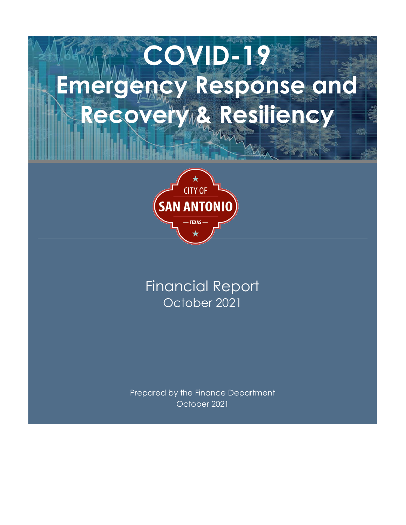# **COVID-19 Emergency Response and**  Recovery & Resiliency



# October 2021 Financial Report

Prepared by the Finance Department October 2021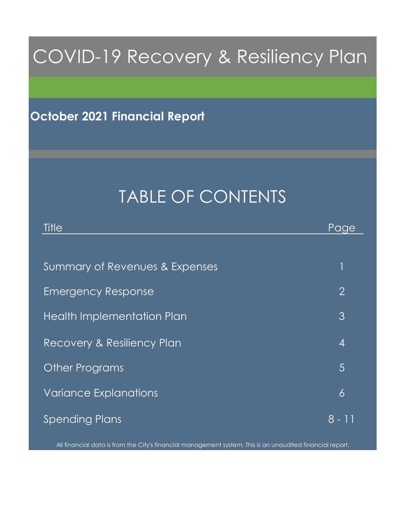# COVID-19 Recovery & Resiliency Plan

# **October 2021 Financial Report**

# TABLE OF CONTENTS

| Title                             | Page           |
|-----------------------------------|----------------|
|                                   |                |
| Summary of Revenues & Expenses    | 1              |
| <b>Emergency Response</b>         | $\overline{2}$ |
| <b>Health Implementation Plan</b> | 3              |
| Recovery & Resiliency Plan        | 4              |
| <b>Other Programs</b>             | $\overline{5}$ |
| <b>Variance Explanations</b>      | $\delta$       |
| <b>Spending Plans</b>             | 8 - 11         |

All financial data is from the City's financial management system. This is an unaudited financial report.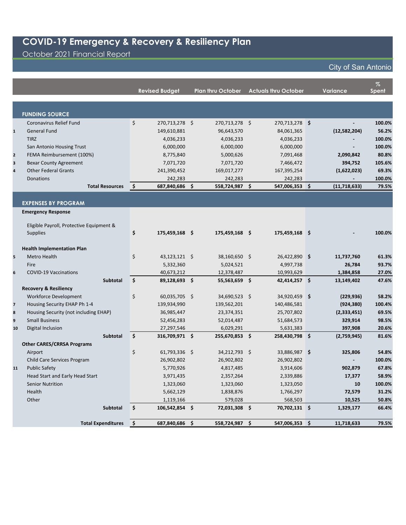October 2021 Financial Report

|  | <b>City of San Antonio</b> |  |
|--|----------------------------|--|
|  |                            |  |

|                         |                                                 |    | <b>Revised Budget</b>       |                    | <b>Plan thru October</b> | <b>Actuals thru October</b> | <b>Variance</b> | $\%$<br>Spent  |
|-------------------------|-------------------------------------------------|----|-----------------------------|--------------------|--------------------------|-----------------------------|-----------------|----------------|
|                         |                                                 |    |                             |                    |                          |                             |                 |                |
|                         | <b>FUNDING SOURCE</b>                           |    |                             |                    |                          |                             |                 |                |
|                         | Coronavirus Relief Fund                         | \$ | 270,713,278 \$              |                    | 270,713,278 \$           | 270,713,278 \$              |                 | 100.0%         |
| $\mathbf{1}$            | <b>General Fund</b>                             |    | 149,610,881                 |                    | 96,643,570               | 84,061,365                  | (12,582,204)    | 56.2%          |
|                         | <b>TIRZ</b>                                     |    | 4,036,233                   |                    | 4,036,233                | 4,036,233                   |                 | 100.0%         |
|                         | San Antonio Housing Trust                       |    | 6,000,000                   |                    | 6,000,000                | 6,000,000                   | $\blacksquare$  | 100.0%         |
| $\mathbf{2}$            | FEMA Reimbursement (100%)                       |    | 8,775,840                   |                    | 5,000,626                | 7,091,468                   | 2,090,842       | 80.8%          |
| $\overline{\mathbf{3}}$ | <b>Bexar County Agreement</b>                   |    | 7,071,720                   |                    | 7,071,720                | 7,466,472                   | 394,752         | 105.6%         |
| $\overline{\mathbf{4}}$ | <b>Other Federal Grants</b>                     |    | 241,390,452                 |                    | 169,017,277              | 167,395,254                 | (1,622,023)     | 69.3%          |
|                         | <b>Donations</b>                                |    | 242,283                     |                    | 242,283                  | 242,283                     |                 | 100.0%         |
|                         | <b>Total Resources</b>                          | \$ | 687,840,686 \$              |                    | 558,724,987 \$           | 547,006,353 \$              | (11, 718, 633)  | 79.5%          |
|                         |                                                 |    |                             |                    |                          |                             |                 |                |
|                         | <b>EXPENSES BY PROGRAM</b>                      |    |                             |                    |                          |                             |                 |                |
|                         | <b>Emergency Response</b>                       |    |                             |                    |                          |                             |                 |                |
|                         | Eligible Payroll, Protective Equipment &        |    |                             |                    |                          |                             |                 |                |
|                         | <b>Supplies</b>                                 | \$ | 175,459,168 \$              |                    | 175,459,168 \$           | 175,459,168 \$              |                 | 100.0%         |
|                         |                                                 |    |                             |                    |                          |                             |                 |                |
|                         | <b>Health Implementation Plan</b>               |    |                             |                    |                          |                             |                 |                |
| 5                       | Metro Health                                    | \$ | 43,123,121 \$               |                    | 38,160,650 \$            | 26,422,890 \$               | 11,737,760      | 61.3%          |
|                         | Fire                                            |    | 5,332,360                   |                    | 5,024,521                | 4,997,738                   | 26,784          | 93.7%          |
| 6                       | <b>COVID-19 Vaccinations</b><br><b>Subtotal</b> | Ś. | 40,673,212<br>89,128,693 \$ |                    | 12,378,487               | 10,993,629<br>42,414,257 \$ | 1,384,858       | 27.0%<br>47.6% |
|                         | <b>Recovery &amp; Resiliency</b>                |    |                             |                    | 55,563,659 \$            |                             | 13,149,402      |                |
|                         | <b>Workforce Development</b>                    | \$ | 60,035,705 \$               |                    | 34,690,523 \$            | 34,920,459 \$               | (229, 936)      | 58.2%          |
| $\overline{7}$          | Housing Security EHAP Ph 1-4                    |    | 139,934,990                 |                    | 139,562,201              | 140,486,581                 | (924, 380)      | 100.4%         |
| 8                       | Housing Security (not including EHAP)           |    | 36,985,447                  |                    | 23,374,351               | 25,707,802                  | (2,333,451)     | 69.5%          |
| 9                       | <b>Small Business</b>                           |    | 52,456,283                  |                    | 52,014,487               | 51,684,573                  | 329,914         | 98.5%          |
| 10                      | Digital Inclusion                               |    | 27,297,546                  |                    | 6,029,291                | 5,631,383                   | 397,908         | 20.6%          |
|                         | <b>Subtotal</b>                                 | Ś. | 316,709,971 \$              |                    | 255,670,853 \$           | 258,430,798 \$              | (2,759,945)     | 81.6%          |
|                         | <b>Other CARES/CRRSA Programs</b>               |    |                             |                    |                          |                             |                 |                |
|                         | Airport                                         | \$ | 61,793,336 \$               |                    | 34,212,793 \$            | 33,886,987 \$               | 325,806         | 54.8%          |
|                         | Child Care Services Program                     |    | 26,902,802                  |                    | 26,902,802               | 26,902,802                  | $\sim$          | 100.0%         |
| 11                      | <b>Public Safety</b>                            |    | 5,770,926                   |                    | 4,817,485                | 3,914,606                   | 902,879         | 67.8%          |
|                         | Head Start and Early Head Start                 |    | 3,971,435                   |                    | 2,357,264                | 2,339,886                   | 17,377          | 58.9%          |
|                         | <b>Senior Nutrition</b>                         |    | 1,323,060                   |                    | 1,323,060                | 1,323,050                   | 10              | 100.0%         |
|                         | Health                                          |    | 5,662,129                   |                    | 1,838,876                | 1,766,297                   | 72,579          | 31.2%          |
|                         | Other                                           |    | 1,119,166                   |                    | 579,028                  | 568,503                     | 10,525          | 50.8%          |
|                         | <b>Subtotal</b>                                 | \$ | 106,542,854 \$              |                    | 72,031,308 \$            | 70,702,131 \$               | 1,329,177       | 66.4%          |
|                         | <b>Total Expenditures</b>                       | \$ | 687,840,686                 | $\dot{\mathsf{s}}$ | 558,724,987              | \$<br>547,006,353 \$        | 11,718,633      | 79.5%          |
|                         |                                                 |    |                             |                    |                          |                             |                 |                |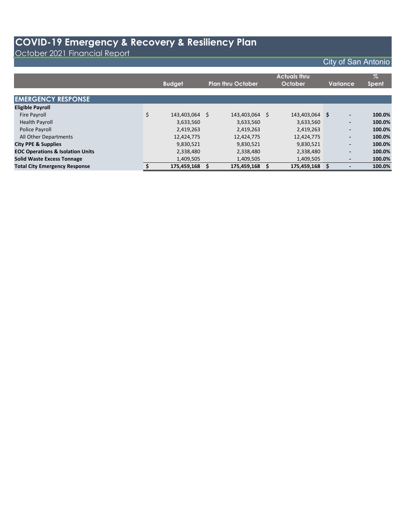October 2021 Financial Report

|                                             | <b>Budget</b>        | <b>Plan thru October</b> |    | <b>Actuals thru</b><br>October |   | Variance                     | $\%$<br><b>Spent</b> |
|---------------------------------------------|----------------------|--------------------------|----|--------------------------------|---|------------------------------|----------------------|
| <b>EMERGENCY RESPONSE</b>                   |                      |                          |    |                                |   |                              |                      |
| <b>Eligible Payroll</b>                     |                      |                          |    |                                |   |                              |                      |
| <b>Fire Payroll</b>                         | \$<br>143,403,064 \$ | 143,403,064              | -S | 143,403,064                    | S | $\overline{\phantom{a}}$     | 100.0%               |
| <b>Health Payroll</b>                       | 3,633,560            | 3,633,560                |    | 3,633,560                      |   | $\overline{\phantom{a}}$     | 100.0%               |
| Police Payroll                              | 2,419,263            | 2,419,263                |    | 2,419,263                      |   | $\overline{\phantom{a}}$     | 100.0%               |
| All Other Departments                       | 12,424,775           | 12,424,775               |    | 12,424,775                     |   | $\overline{\phantom{a}}$     | 100.0%               |
| <b>City PPE &amp; Supplies</b>              | 9,830,521            | 9,830,521                |    | 9,830,521                      |   | $\overline{\phantom{a}}$     | 100.0%               |
| <b>EOC Operations &amp; Isolation Units</b> | 2,338,480            | 2,338,480                |    | 2,338,480                      |   | ٠                            | 100.0%               |
| <b>Solid Waste Excess Tonnage</b>           | 1,409,505            | 1,409,505                |    | 1,409,505                      |   | $\overline{\phantom{a}}$     | 100.0%               |
| <b>Total City Emergency Response</b>        | 175,459,168          | 175.459.168              |    | 175,459,168                    |   | $\qquad \qquad \blacksquare$ | 100.0%               |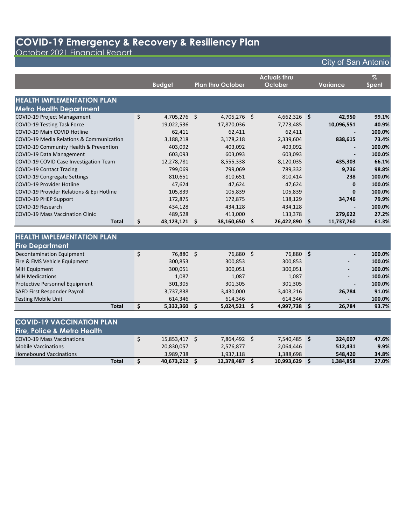October 2021 Financial Report

|                                           | <b>Budget</b>      | <b>Plan thru October</b> |    | <b>Actuals thru</b><br>October |      | <b>Variance</b> | $\%$<br><b>Spent</b> |
|-------------------------------------------|--------------------|--------------------------|----|--------------------------------|------|-----------------|----------------------|
| <b>HEALTH IMPLEMENTATION PLAN</b>         |                    |                          |    |                                |      |                 |                      |
| <b>Metro Health Department</b>            |                    |                          |    |                                |      |                 |                      |
| COVID-19 Project Management               | \$<br>4,705,276 \$ | 4,705,276 \$             |    | $4,662,326$ \$                 |      | 42,950          | 99.1%                |
| <b>COVID-19 Testing Task Force</b>        | 19,022,536         | 17,870,036               |    | 7,773,485                      |      | 10,096,551      | 40.9%                |
| COVID-19 Main COVID Hotline               | 62,411             | 62,411                   |    | 62,411                         |      |                 | 100.0%               |
| COVID-19 Media Relations & Communication  | 3,188,218          | 3,178,218                |    | 2,339,604                      |      | 838,615         | 73.4%                |
| COVID-19 Community Health & Prevention    | 403,092            | 403,092                  |    | 403,092                        |      |                 | 100.0%               |
| COVID-19 Data Management                  | 603,093            | 603,093                  |    | 603,093                        |      |                 | 100.0%               |
| COVID-19 COVID Case Investigation Team    | 12,278,781         | 8,555,338                |    | 8,120,035                      |      | 435,303         | 66.1%                |
| <b>COVID-19 Contact Tracing</b>           | 799,069            | 799,069                  |    | 789,332                        |      | 9,736           | 98.8%                |
| COVID-19 Congregate Settings              | 810,651            | 810,651                  |    | 810,414                        |      | 238             | 100.0%               |
| COVID-19 Provider Hotline                 | 47,624             | 47,624                   |    | 47,624                         |      | 0               | 100.0%               |
| COVID-19 Provider Relations & Epi Hotline | 105,839            | 105,839                  |    | 105,839                        |      | $\bf{0}$        | 100.0%               |
| <b>COVID-19 PHEP Support</b>              | 172,875            | 172,875                  |    | 138,129                        |      | 34,746          | 79.9%                |
| COVID-19 Research                         | 434,128            | 434,128                  |    | 434,128                        |      |                 | 100.0%               |
| <b>COVID-19 Mass Vaccination Clinic</b>   | 489,528            | 413,000                  |    | 133,378                        |      | 279,622         | 27.2%                |
| <b>Total</b>                              | \$<br>43,123,121   | \$<br>38,160,650         | Ś. | 26,422,890                     | - \$ | 11,737,760      | 61.3%                |
|                                           |                    |                          |    |                                |      |                 |                      |
| <b>HEALTH IMPLEMENTATION PLAN</b>         |                    |                          |    |                                |      |                 |                      |
| <b>Fire Department</b>                    |                    |                          |    |                                |      |                 |                      |
| <b>Decontamination Equipment</b>          | \$<br>76,880 \$    | 76,880 \$                |    | 76,880 \$                      |      |                 | 100.0%               |
| Fire & EMS Vehicle Equipment              | 300,853            | 300,853                  |    | 300,853                        |      |                 | 100.0%               |
| <b>MIH Equipment</b>                      | 300,051            | 300,051                  |    | 300,051                        |      |                 | 100.0%               |
| <b>MIH Medications</b>                    | 1,087              | 1,087                    |    | 1,087                          |      |                 | 100.0%               |
| Protective Personnel Equipment            | 301,305            | 301,305                  |    | 301,305                        |      |                 | 100.0%               |
| SAFD First Responder Payroll              | 3,737,838          | 3,430,000                |    | 3,403,216                      |      | 26,784          | 91.0%                |
| <b>Testing Mobile Unit</b>                | 614,346            | 614,346                  |    | 614,346                        |      |                 | 100.0%               |
| <b>Total</b>                              | \$<br>5,332,360    | \$<br>5,024,521          | \$ | 4,997,738                      | Ŝ.   | 26.784          | 93.7%                |

| <b>COVID-19 VACCINATION PLAN</b>       |            |            |              |           |       |
|----------------------------------------|------------|------------|--------------|-----------|-------|
| <b>Fire, Police &amp; Metro Health</b> |            |            |              |           |       |
| <b>COVID-19 Mass Vaccinations</b>      | 15,853,417 | 7,864,492  | 7,540,485 \$ | 324,007   | 47.6% |
| <b>Mobile Vaccinations</b>             | 20,830,057 | 2,576,877  | 2,064,446    | 512.431   | 9.9%  |
| <b>Homebound Vaccinations</b>          | 3,989,738  | 1,937,118  | 1,388,698    | 548,420   | 34.8% |
| <b>Total</b>                           | 40,673,212 | 12,378,487 | 10,993,629   | 1,384,858 | 27.0% |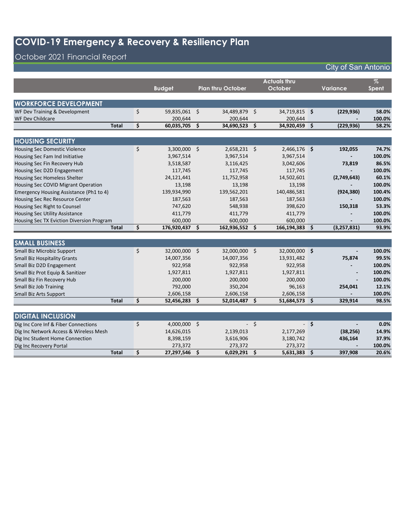## October 2021 Financial Report

|                                           |                     |                          |      | <b>Actuals thru</b> |      |                 | $\%$         |
|-------------------------------------------|---------------------|--------------------------|------|---------------------|------|-----------------|--------------|
|                                           | <b>Budget</b>       | <b>Plan thru October</b> |      | October             |      | <b>Variance</b> | <b>Spent</b> |
|                                           |                     |                          |      |                     |      |                 |              |
| <b>WORKFORCE DEVELOPMENT</b>              |                     |                          |      |                     |      |                 |              |
| WF Dev Training & Development             | \$<br>59,835,061 \$ | 34,489,879 \$            |      | 34,719,815 \$       |      | (229, 936)      | 58.0%        |
| <b>WF Dev Childcare</b>                   | 200,644             | 200,644                  |      | 200,644             |      |                 | 100.0%       |
| <b>Total</b>                              | \$<br>60,035,705    | \$<br>34,690,523 \$      |      | 34,920,459 \$       |      | (229, 936)      | 58.2%        |
|                                           |                     |                          |      |                     |      |                 |              |
| <b>HOUSING SECURITY</b>                   |                     |                          |      |                     |      |                 |              |
| <b>Housing Sec Domestic Violence</b>      | \$<br>3,300,000 \$  | $2,658,231$ \$           |      | $2,466,176$ \$      |      | 192,055         | 74.7%        |
| Housing Sec Fam Ind Initiative            | 3,967,514           | 3,967,514                |      | 3,967,514           |      |                 | 100.0%       |
| Housing Sec Fin Recovery Hub              | 3,518,587           | 3,116,425                |      | 3,042,606           |      | 73,819          | 86.5%        |
| Housing Sec D2D Engagement                | 117,745             | 117,745                  |      | 117,745             |      |                 | 100.0%       |
| Housing Sec Homeless Shelter              | 24,121,441          | 11,752,958               |      | 14,502,601          |      | (2,749,643)     | 60.1%        |
| Housing Sec COVID Migrant Operation       | 13,198              | 13,198                   |      | 13,198              |      |                 | 100.0%       |
| Emergency Housing Assistance (Ph1 to 4)   | 139,934,990         | 139,562,201              |      | 140,486,581         |      | (924, 380)      | 100.4%       |
| Housing Sec Rec Resource Center           | 187,563             | 187,563                  |      | 187,563             |      |                 | 100.0%       |
| Housing Sec Right to Counsel              | 747,620             | 548,938                  |      | 398,620             |      | 150,318         | 53.3%        |
| <b>Housing Sec Utility Assistance</b>     | 411,779             | 411,779                  |      | 411,779             |      |                 | 100.0%       |
| Housing Sec TX Eviction Diversion Program | 600,000             | 600,000                  |      | 600,000             |      |                 | 100.0%       |
| <b>Total</b>                              | \$<br>176,920,437   | \$<br>162,936,552 \$     |      | 166,194,383         | \$   | (3, 257, 831)   | 93.9%        |
|                                           |                     |                          |      |                     |      |                 |              |
| <b>SMALL BUSINESS</b>                     |                     |                          |      |                     |      |                 |              |
| Small Biz Microbiz Support                | \$<br>32,000,000 \$ | 32,000,000 \$            |      | 32,000,000 \$       |      |                 | 100.0%       |
| <b>Small Biz Hospitality Grants</b>       | 14,007,356          | 14,007,356               |      | 13,931,482          |      | 75,874          | 99.5%        |
| Small Biz D2D Engagement                  | 922,958             | 922,958                  |      | 922,958             |      |                 | 100.0%       |
| Small Biz Prot Equip & Sanitizer          | 1,927,811           | 1,927,811                |      | 1,927,811           |      |                 | 100.0%       |
| Small Biz Fin Recovery Hub                | 200,000             | 200,000                  |      | 200,000             |      |                 | 100.0%       |
| <b>Small Biz Job Training</b>             | 792,000             | 350,204                  |      | 96,163              |      | 254,041         | 12.1%        |
| Small Biz Arts Support                    | 2,606,158           | 2,606,158                |      | 2,606,158           |      |                 | 100.0%       |
| <b>Total</b>                              | \$<br>52,456,283    | \$<br>52,014,487 \$      |      | 51,684,573 \$       |      | 329,914         | 98.5%        |
|                                           |                     |                          |      |                     |      |                 |              |
| <b>DIGITAL INCLUSION</b>                  |                     |                          |      |                     |      |                 |              |
| Dig Inc Core Inf & Fiber Connections      | \$<br>4,000,000 \$  |                          | $-5$ |                     | $-5$ |                 | 0.0%         |
| Dig Inc Network Access & Wireless Mesh    | 14,626,015          | 2,139,013                |      | 2,177,269           |      | (38, 256)       | 14.9%        |
| Dig Inc Student Home Connection           | 8,398,159           | 3,616,906                |      | 3,180,742           |      | 436,164         | 37.9%        |
| Dig Inc Recovery Portal                   | 273,372             | 273,372                  |      | 273,372             |      |                 | 100.0%       |
| <b>Total</b>                              | \$<br>27,297,546    | \$<br>6,029,291 \$       |      | 5,631,383 \$        |      | 397,908         | 20.6%        |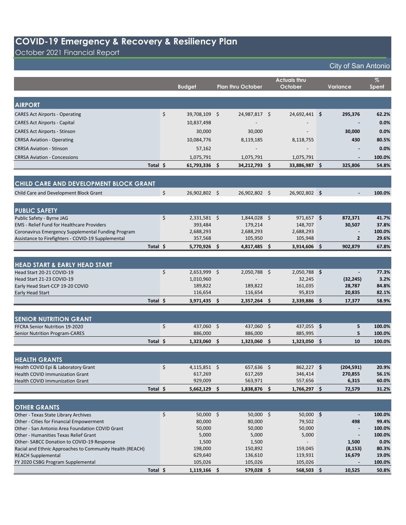October 2021 Financial Report

|                                                                                                         |          |                      |                          | <b>Actuals thru</b>  |                | %               |
|---------------------------------------------------------------------------------------------------------|----------|----------------------|--------------------------|----------------------|----------------|-----------------|
|                                                                                                         |          | <b>Budget</b>        | <b>Plan thru October</b> | October              | Variance       | Spent           |
|                                                                                                         |          |                      |                          |                      |                |                 |
| <b>AIRPORT</b>                                                                                          |          |                      |                          |                      |                |                 |
| <b>CARES Act Airports - Operating</b>                                                                   | \$       | 39,708,109 \$        | 24,987,817 \$            | 24,692,441 \$        | 295,376        | 62.2%           |
| <b>CARES Act Airports - Capital</b>                                                                     |          | 10,837,498           |                          |                      |                | 0.0%            |
|                                                                                                         |          |                      |                          |                      |                |                 |
| <b>CARES Act Airports - Stinson</b>                                                                     |          | 30,000               | 30,000                   |                      | 30,000         | 0.0%            |
| <b>CRRSA Aviation - Operating</b>                                                                       |          | 10,084,776           | 8,119,185                | 8,118,755            | 430            | 80.5%           |
| <b>CRRSA Aviation - Stinson</b>                                                                         |          | 57,162               |                          |                      |                | 0.0%            |
| <b>CRRSA Aviation - Concessions</b>                                                                     |          | 1,075,791            | 1,075,791                | 1,075,791            |                | 100.0%          |
|                                                                                                         | Total \$ | $61,793,336$ \$      | 34,212,793 \$            | 33,886,987 \$        | 325,806        | 54.8%           |
|                                                                                                         |          |                      |                          |                      |                |                 |
| CHILD CARE AND DEVELOPMENT BLOCK GRANT                                                                  |          |                      |                          |                      |                |                 |
|                                                                                                         |          |                      |                          |                      |                |                 |
| Child Care and Development Block Grant                                                                  | \$       | 26,902,802 \$        | 26,902,802 \$            | 26,902,802 \$        | $\blacksquare$ | 100.0%          |
|                                                                                                         |          |                      |                          |                      |                |                 |
| <b>PUBLIC SAFETY</b>                                                                                    |          |                      |                          |                      |                |                 |
| Public Safety - Byrne JAG                                                                               | \$       | 2,331,581 \$         | $1,844,028$ \$           | $971,657$ \$         | 872,371        | 41.7%           |
| <b>EMS</b> - Relief Fund for Healthcare Providers<br>Coronavirus Emergency Supplemental Funding Program |          | 393,484<br>2,688,293 | 179,214<br>2,688,293     | 148,707<br>2,688,293 | 30,507         | 37.8%<br>100.0% |
| Assistance to Firefighters - COVID-19 Supplemental                                                      |          | 357,568              | 105,950                  | 105,948              | $\overline{2}$ | 29.6%           |
|                                                                                                         | Total \$ | 5,770,926 \$         | 4,817,485 \$             | 3,914,606 \$         | 902,879        | 67.8%           |
|                                                                                                         |          |                      |                          |                      |                |                 |
|                                                                                                         |          |                      |                          |                      |                |                 |
| <b>HEAD START &amp; EARLY HEAD START</b>                                                                |          |                      |                          |                      |                |                 |
| Head Start 20-21 COVID-19                                                                               | \$       | 2,653,999 \$         | $2,050,788$ \$           | 2,050,788 \$         |                | 77.3%           |
| Head Start 21-23 COVID-19                                                                               |          | 1,010,960            |                          | 32,245               | (32, 245)      | 3.2%            |
| Early Head Start-CCP 19-20 COVID                                                                        |          | 189,822              | 189,822                  | 161,035              | 28,787         | 84.8%           |
| Early Head Start                                                                                        |          | 116,654              | 116,654                  | 95,819               | 20,835         | 82.1%           |
|                                                                                                         | Total \$ | $3,971,435$ \$       | $2,357,264$ \$           | 2,339,886 \$         | 17,377         | 58.9%           |
|                                                                                                         |          |                      |                          |                      |                |                 |
| <b>SENIOR NUTRITION GRANT</b>                                                                           |          |                      |                          |                      |                |                 |
| FFCRA Senior Nutrition 19-2020                                                                          | \$       | 437,060 \$           | 437,060 \$               | 437,055 \$           | 5              | 100.0%          |
| <b>Senior Nutrition Program-CARES</b>                                                                   |          | 886,000              | 886,000                  | 885,995              | 5              | 100.0%          |
|                                                                                                         | Total \$ | 1,323,060 \$         | 1,323,060 \$             | 1,323,050 \$         | 10             | 100.0%          |
|                                                                                                         |          |                      |                          |                      |                |                 |
| <b>HEALTH GRANTS</b>                                                                                    |          |                      |                          |                      |                |                 |
| Health COVID Epi & Laboratory Grant                                                                     | \$       | $4,115,851$ \$       | 657,636 \$               | 862,227 \$           | (204, 591)     | 20.9%           |
| Health COVID Immunization Grant                                                                         |          | 617,269              | 617,269                  | 346,414              | 270,855        | 56.1%           |
| <b>Health COVID Immunization Grant</b>                                                                  |          | 929,009              | 563,971                  | 557,656              | 6,315          | 60.0%           |
|                                                                                                         | Total \$ | $5,662,129$ \$       | 1,838,876 \$             | $1,766,297$ \$       | 72,579         | 31.2%           |
|                                                                                                         |          |                      |                          |                      |                |                 |
| <b>OTHER GRANTS</b>                                                                                     |          |                      |                          |                      |                |                 |
| Other - Texas State Library Archives                                                                    | \$       | 50,000 \$            | 50,000 \$                | 50,000 \$            |                | 100.0%          |
| Other - Cities for Financial Empowerment                                                                |          | 80,000               | 80,000                   | 79,502               | 498            | 99.4%           |
| Other - San Antonio Area Foundation COVID Grant                                                         |          | 50,000               | 50,000                   | 50,000               |                | 100.0%          |
| Other - Humanities Texas Relief Grant                                                                   |          | 5,000                | 5,000                    | 5,000                |                | 100.0%          |
| Other-SABCC Donation to COVID-19 Response                                                               |          | 1,500                | 1,500                    |                      | 1,500          | 0.0%            |
| Racial and Ethnic Approaches to Community Health (REACH)                                                |          | 198,000              | 150,892                  | 159,045              | (8, 153)       | 80.3%           |
| <b>REACH Supplemental</b>                                                                               |          | 629,640              | 136,610                  | 119,931              | 16,679         | 19.0%           |
| FY 2020 CSBG Program Supplemental                                                                       |          | 105,026              | 105,026                  | 105,026              |                | 100.0%          |
|                                                                                                         | Total \$ | $1,119,166$ \$       | 579,028 \$               | $568,503$ \$         | 10,525         | 50.8%           |
|                                                                                                         |          |                      |                          |                      |                |                 |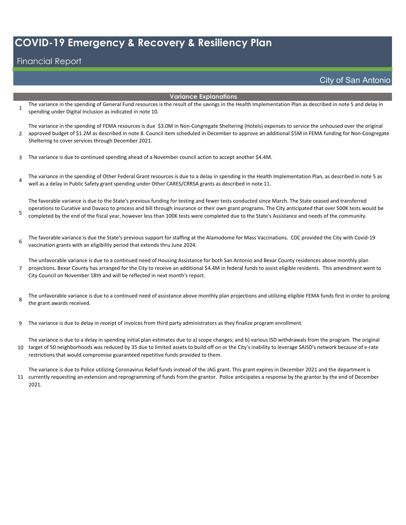#### Financial Report

City of San Antonio

#### **Variance Explanations**

1 The variance in the spending of General Fund resources is the result of the savings in the Health Implementation Plan as described in note 5 and delay in spending under Digital Inclusion as indicated in note 10.

 $\mathfrak{p}$ The variance in the spending of FEMA resources is due \$3.0M in Non-Congregate Sheltering (Hotels) expenses to service the unhoused over the original approved budget of \$1.2M as described in note 8. Council item scheduled in December to approve an additional \$5M in FEMA funding for Non-Congregate Sheltering to cover services through December 2021.

3 The variance is due to continued spending ahead of a November council action to accept another \$4.4M.

4 The variance in the spending of Other Federal Grant resources is due to a delay in spending in the Health Implementation Plan, as described in note 5 as well as a delay in Public Safety grant spending under Other CARES/CRRSA grants as described in note 11.

5 The favorable variance is due to the State's previous funding for testing and fewer tests conducted since March. The State ceased and transferred operations to Curative and Davaco to process and bill through insurance or their own grant programs. The City anticipated that over 500K tests would be completed by the end of the fiscal year, however less than 100K tests were completed due to the State's Assistance and needs of the community.

6 The favorable variance is due the State's previous support for staffing at the Alamodome for Mass Vaccinations. CDC provided the City with Covid-19 vaccination grants with an eligibility period that extends thru June 2024.

7 The unfavorable variance is due to a continued need of Housing Assistance for both San Antonio and Bexar County residences above monthly plan projections. Bexar County has arranged for the City to receive an additional \$4.4M in federal funds to assist eligible residents. This amendment went to City Council on November 18th and will be reflected in next month's report.

8 The unfavorable variance is due to a continued need of assistance above monthly plan projections and utilizing eligible FEMA funds first in order to prolong the grant awards received.

9 The variance is due to delay in receipt of invoices from third party administrators as they finalize program enrollment.

10 target of 50 neighborhoods was reduced by 35 due to limited assets to build off on or the City's inability to leverage SAISD's network because of e-rate The variance is due to a delay in spending initial plan estimates due to a) scope changes; and b) various ISD withdrawals from the program. The original restrictions that would compromise guaranteed repetitive funds provided to them.

11 currently requesting an extension and reprogramming of funds from the grantor. Police anticipates a response by the grantor by the end of December The variance is due to Police utilizing Coronavirus Relief funds instead of the JAG grant. This grant expires in December 2021 and the department is 2021.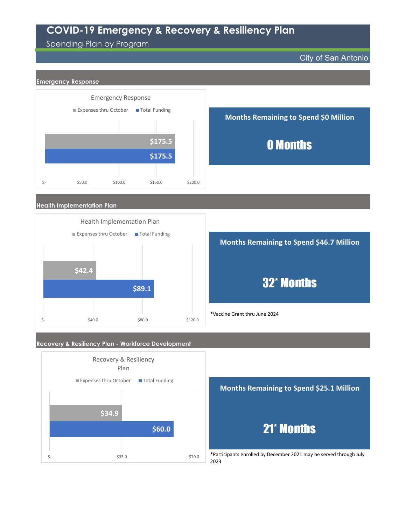#### Spending Plan by Program

City of San Antonio







2023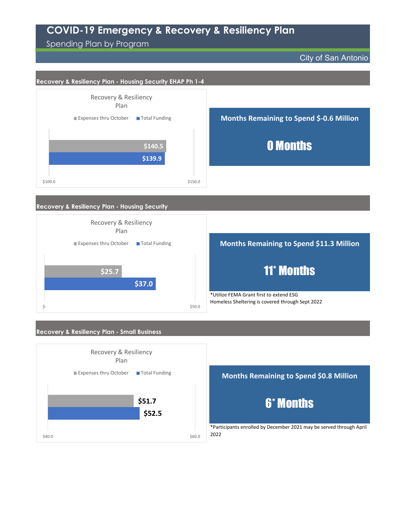Spending Plan by Program

 $$40.0$  \$40.0

City of San Antonio



\*Participants enrolled by December 2021 may be served through April 2022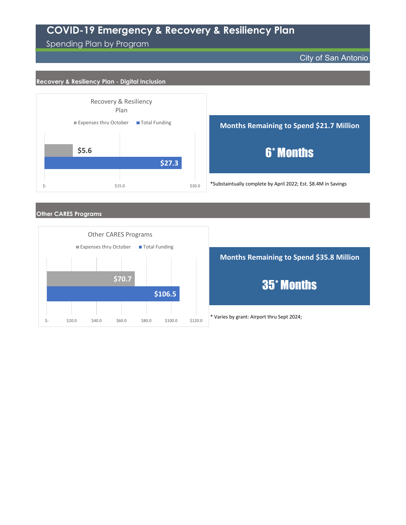Spending Plan by Program

City of San Antonio

#### **Recovery & Resiliency Plan - Digital Inclusion**





\*Substaintually complete by April 2022; Est. \$8.4M in Savings

#### **Other CARES Programs**



\* Varies by grant: Airport thru Sept 2024; **Months Remaining to Spend \$35.8 Million** 35\* Months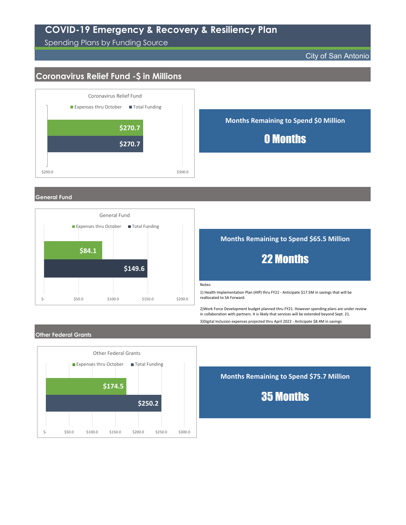Spending Plans by Funding Source

#### City of San Antonio

### **Coronavirus Relief Fund -\$ in Millions**



#### **General Fund**



#### **Months Remaining to Spend \$65.5 Million**

# 22 Months

Notes:

1) Health Implementation Plan (HIP) thru FY21 - Anticipate \$17.5M in savings that will be reallocated to SA Forward.

2)Work Force Development budget planned thru FY21. However spending plans are under review in collaboration with partners. It is likely that services will be extended beyond Sept. 21.

3)Digital Inclusion expenses projected thru April 2022 - Anticipate \$8.4M in savings

#### **Other Federal Grants**



**Months Remaining to Spend \$75.7 Million**

35 Months